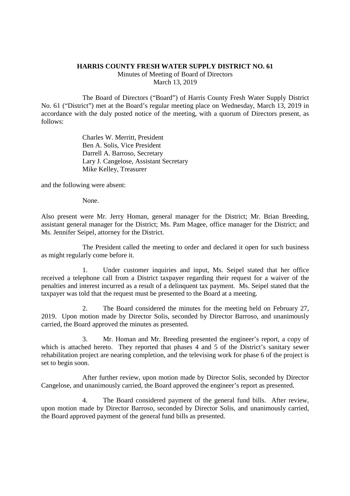## **HARRIS COUNTY FRESH WATER SUPPLY DISTRICT NO. 61**

Minutes of Meeting of Board of Directors March 13, 2019

The Board of Directors ("Board") of Harris County Fresh Water Supply District No. 61 ("District") met at the Board's regular meeting place on Wednesday, March 13, 2019 in accordance with the duly posted notice of the meeting, with a quorum of Directors present, as follows:

> Charles W. Merritt, President Ben A. Solis, Vice President Darrell A. Barroso, Secretary Lary J. Cangelose, Assistant Secretary Mike Kelley, Treasurer

and the following were absent:

None.

Also present were Mr. Jerry Homan, general manager for the District; Mr. Brian Breeding, assistant general manager for the District; Ms. Pam Magee, office manager for the District; and Ms. Jennifer Seipel, attorney for the District.

The President called the meeting to order and declared it open for such business as might regularly come before it.

1. Under customer inquiries and input, Ms. Seipel stated that her office received a telephone call from a District taxpayer regarding their request for a waiver of the penalties and interest incurred as a result of a delinquent tax payment. Ms. Seipel stated that the taxpayer was told that the request must be presented to the Board at a meeting.

2. The Board considered the minutes for the meeting held on February 27, 2019. Upon motion made by Director Solis, seconded by Director Barroso, and unanimously carried, the Board approved the minutes as presented.

3. Mr. Homan and Mr. Breeding presented the engineer's report, a copy of which is attached hereto. They reported that phases 4 and 5 of the District's sanitary sewer rehabilitation project are nearing completion, and the televising work for phase 6 of the project is set to begin soon.

After further review, upon motion made by Director Solis, seconded by Director Cangelose, and unanimously carried, the Board approved the engineer's report as presented.

4. The Board considered payment of the general fund bills. After review, upon motion made by Director Barroso, seconded by Director Solis, and unanimously carried, the Board approved payment of the general fund bills as presented.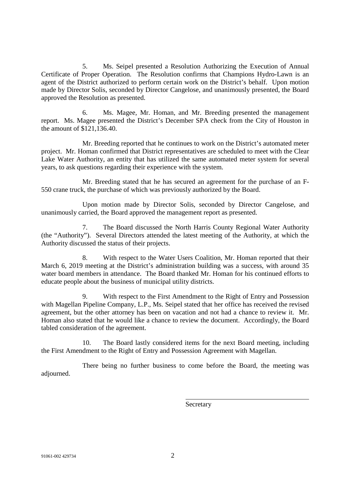5. Ms. Seipel presented a Resolution Authorizing the Execution of Annual Certificate of Proper Operation. The Resolution confirms that Champions Hydro-Lawn is an agent of the District authorized to perform certain work on the District's behalf. Upon motion made by Director Solis, seconded by Director Cangelose, and unanimously presented, the Board approved the Resolution as presented.

6. Ms. Magee, Mr. Homan, and Mr. Breeding presented the management report. Ms. Magee presented the District's December SPA check from the City of Houston in the amount of \$121,136.40.

Mr. Breeding reported that he continues to work on the District's automated meter project. Mr. Homan confirmed that District representatives are scheduled to meet with the Clear Lake Water Authority, an entity that has utilized the same automated meter system for several years, to ask questions regarding their experience with the system.

Mr. Breeding stated that he has secured an agreement for the purchase of an F-550 crane truck, the purchase of which was previously authorized by the Board.

Upon motion made by Director Solis, seconded by Director Cangelose, and unanimously carried, the Board approved the management report as presented.

7. The Board discussed the North Harris County Regional Water Authority (the "Authority"). Several Directors attended the latest meeting of the Authority, at which the Authority discussed the status of their projects.

8. With respect to the Water Users Coalition, Mr. Homan reported that their March 6, 2019 meeting at the District's administration building was a success, with around 35 water board members in attendance. The Board thanked Mr. Homan for his continued efforts to educate people about the business of municipal utility districts.

9. With respect to the First Amendment to the Right of Entry and Possession with Magellan Pipeline Company, L.P., Ms. Seipel stated that her office has received the revised agreement, but the other attorney has been on vacation and not had a chance to review it. Mr. Homan also stated that he would like a chance to review the document. Accordingly, the Board tabled consideration of the agreement.

10. The Board lastly considered items for the next Board meeting, including the First Amendment to the Right of Entry and Possession Agreement with Magellan.

There being no further business to come before the Board, the meeting was adjourned.

**Secretary**